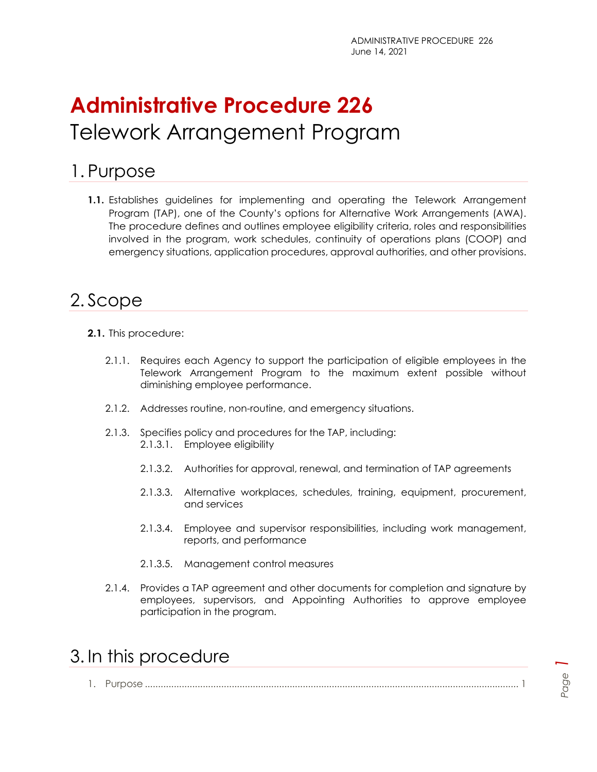# **Administrative Procedure 226** Telework Arrangement Program

## <span id="page-0-0"></span>1. Purpose

**1.1.** Establishes guidelines for implementing and operating the Telework Arrangement Program (TAP), one of the County's options for Alternative Work Arrangements (AWA). The procedure defines and outlines employee eligibility criteria, roles and responsibilities involved in the program, work schedules, continuity of operations plans (COOP) and emergency situations, application procedures, approval authorities, and other provisions.

# <span id="page-0-1"></span>2. Scope

- **2.1.** This procedure:
	- 2.1.1. Requires each Agency to support the participation of eligible employees in the Telework Arrangement Program to the maximum extent possible without diminishing employee performance.
	- 2.1.2. Addresses routine, non-routine, and emergency situations.
	- 2.1.3. Specifies policy and procedures for the TAP, including: 2.1.3.1. Employee eligibility
		- 2.1.3.2. Authorities for approval, renewal, and termination of TAP agreements
		- 2.1.3.3. Alternative workplaces, schedules, training, equipment, procurement, and services
		- 2.1.3.4. Employee and supervisor responsibilities, including work management, reports, and performance
		- 2.1.3.5. Management control measures
	- 2.1.4. Provides a TAP agreement and other documents for completion and signature by employees, supervisors, and Appointing Authorities to approve employee participation in the program.

### <span id="page-0-2"></span>3. In this procedure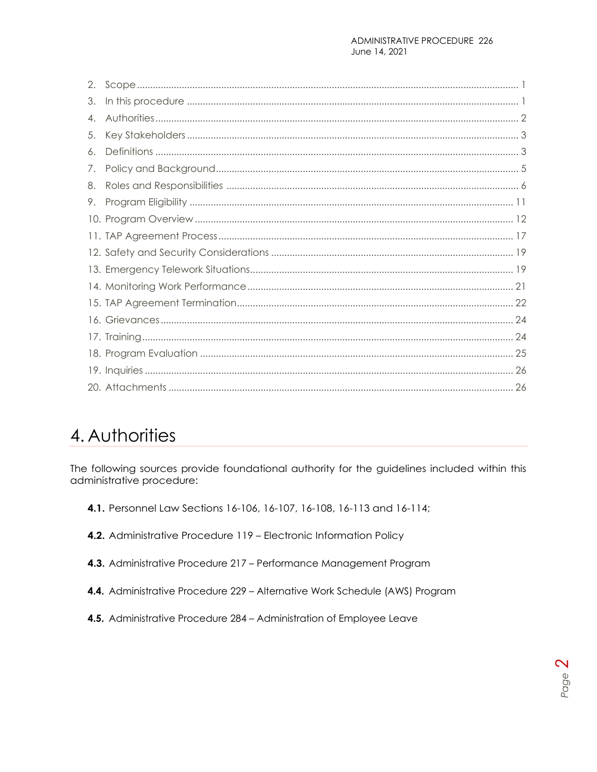# <span id="page-1-0"></span>4. Authorities

The following sources provide foundational authority for the guidelines included within this administrative procedure:

- 4.1. Personnel Law Sections 16-106, 16-107, 16-108, 16-113 and 16-114;
- 4.2. Administrative Procedure 119 Electronic Information Policy
- 4.3. Administrative Procedure 217 Performance Management Program
- 4.4. Administrative Procedure 229 Alternative Work Schedule (AWS) Program
- 4.5. Administrative Procedure 284 Administration of Employee Leave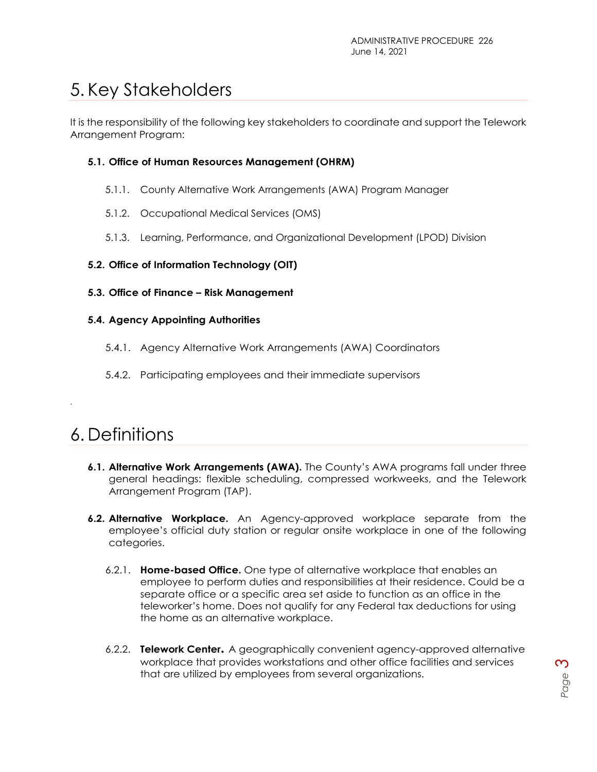# <span id="page-2-0"></span>5. Key Stakeholders

It is the responsibility of the following key stakeholders to coordinate and support the Telework Arrangement Program:

#### **5.1. Office of Human Resources Management (OHRM)**

- 5.1.1. County Alternative Work Arrangements (AWA) Program Manager
- 5.1.2. Occupational Medical Services (OMS)
- 5.1.3. Learning, Performance, and Organizational Development (LPOD) Division

#### **5.2. Office of Information Technology (OIT)**

**5.3. Office of Finance – Risk Management**

#### **5.4. Agency Appointing Authorities**

- 5.4.1. Agency Alternative Work Arrangements (AWA) Coordinators
- 5.4.2. Participating employees and their immediate supervisors

## <span id="page-2-1"></span>6. Definitions

.

- **6.1. Alternative Work Arrangements (AWA).** The County's AWA programs fall under three general headings: flexible scheduling, compressed workweeks, and the Telework Arrangement Program (TAP).
- **6.2. Alternative Workplace.** An Agency-approved workplace separate from the employee's official duty station or regular onsite workplace in one of the following categories.
	- 6.2.1. **Home-based Office.** One type of alternative workplace that enables an employee to perform duties and responsibilities at their residence. Could be a separate office or a specific area set aside to function as an office in the teleworker's home. Does not qualify for any Federal tax deductions for using the home as an alternative workplace.
	- 6.2.2. **Telework Center.** A geographically convenient agency-approved alternative workplace that provides workstations and other office facilities and services that are utilized by employees from several organizations.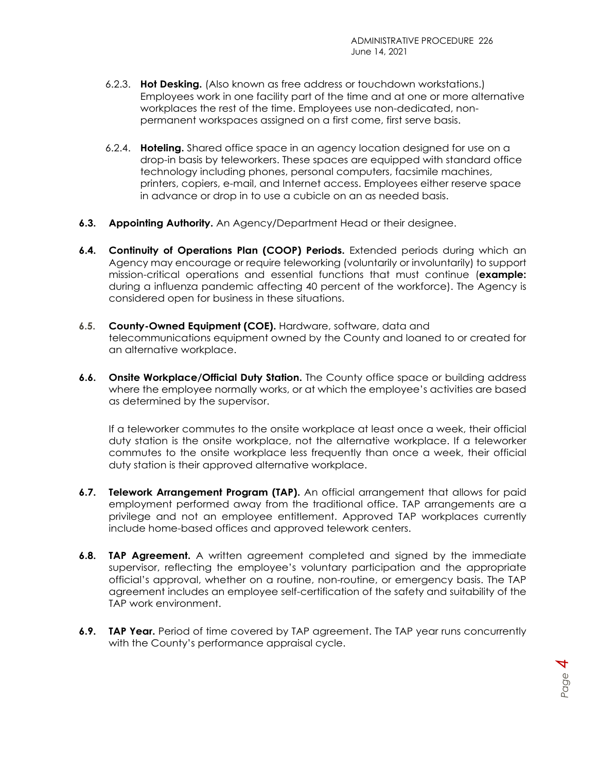- 6.2.3. **Hot Desking.** (Also known as free address or touchdown workstations.) Employees work in one facility part of the time and at one or more alternative workplaces the rest of the time. Employees use non-dedicated, nonpermanent workspaces assigned on a first come, first serve basis.
- 6.2.4. **Hoteling.** Shared office space in an agency location designed for use on a drop-in basis by teleworkers. These spaces are equipped with standard office technology including phones, personal computers, facsimile machines, printers, copiers, e-mail, and Internet access. Employees either reserve space in advance or drop in to use a cubicle on an as needed basis.
- **6.3. Appointing Authority.** An Agency/Department Head or their designee.
- **6.4. Continuity of Operations Plan (COOP) Periods.** Extended periods during which an Agency may encourage or require teleworking (voluntarily or involuntarily) to support mission-critical operations and essential functions that must continue (**example:** during a influenza pandemic affecting 40 percent of the workforce). The Agency is considered open for business in these situations.
- **6.5. County-Owned Equipment (COE).** Hardware, software, data and telecommunications equipment owned by the County and loaned to or created for an alternative workplace.
- **6.6. Onsite Workplace/Official Duty Station.** The County office space or building address where the employee normally works, or at which the employee's activities are based as determined by the supervisor.

If a teleworker commutes to the onsite workplace at least once a week, their official duty station is the onsite workplace, not the alternative workplace. If a teleworker commutes to the onsite workplace less frequently than once a week, their official duty station is their approved alternative workplace.

- **6.7. Telework Arrangement Program (TAP).** An official arrangement that allows for paid employment performed away from the traditional office. TAP arrangements are a privilege and not an employee entitlement. Approved TAP workplaces currently include home-based offices and approved telework centers.
- **6.8. TAP Agreement.** A written agreement completed and signed by the immediate supervisor, reflecting the employee's voluntary participation and the appropriate official's approval, whether on a routine, non-routine, or emergency basis. The TAP agreement includes an employee self-certification of the safety and suitability of the TAP work environment.
- **6.9. TAP Year.** Period of time covered by TAP agreement. The TAP year runs concurrently with the County's performance appraisal cycle.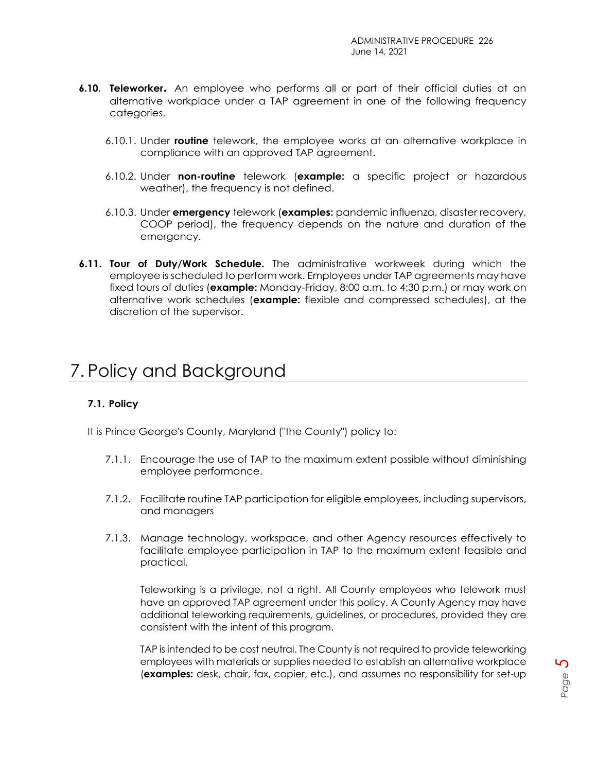- **6.10. Teleworker.** An employee who performs all or part of their official duties at an alternative workplace under a TAP agreement in one of the following frequency categories.
	- 6.10.1. Under **routine** telework, the employee works at an alternative workplace in compliance with an approved TAP agreement.
	- 6.10.2. Under **non-routine** telework (**example:** a specific project or hazardous weather), the frequency is not defined.
	- 6.10.3. Under **emergency** telework (**examples:** pandemic influenza, disaster recovery, COOP period), the frequency depends on the nature and duration of the emergency.
- **6.11. Tour of Duty/Work Schedule.** The administrative workweek during which the employee is scheduled to perform work. Employees under TAP agreements may have fixed tours of duties (**example:** Monday-Friday, 8:00 a.m. to 4:30 p.m.) or may work on alternative work schedules (**example:** flexible and compressed schedules), at the discretion of the supervisor.

# <span id="page-4-0"></span>7. Policy and Background

#### **7.1. Policy**

It is Prince George's County, Maryland ("the County") policy to:

- 7.1.1. Encourage the use of TAP to the maximum extent possible without diminishing employee performance.
- 7.1.2. Facilitate routine TAP participation for eligible employees, including supervisors, and managers
- 7.1.3. Manage technology, workspace, and other Agency resources effectively to facilitate employee participation in TAP to the maximum extent feasible and practical.

Teleworking is a privilege, not a right. All County employees who telework must have an approved TAP agreement under this policy. A County Agency may have additional teleworking requirements, guidelines, or procedures, provided they are consistent with the intent of this program.

TAP is intended to be cost neutral. The County is not required to provide teleworking employees with materials or supplies needed to establish an alternative workplace (**examples:** desk, chair, fax, copier, etc.), and assumes no responsibility for set-up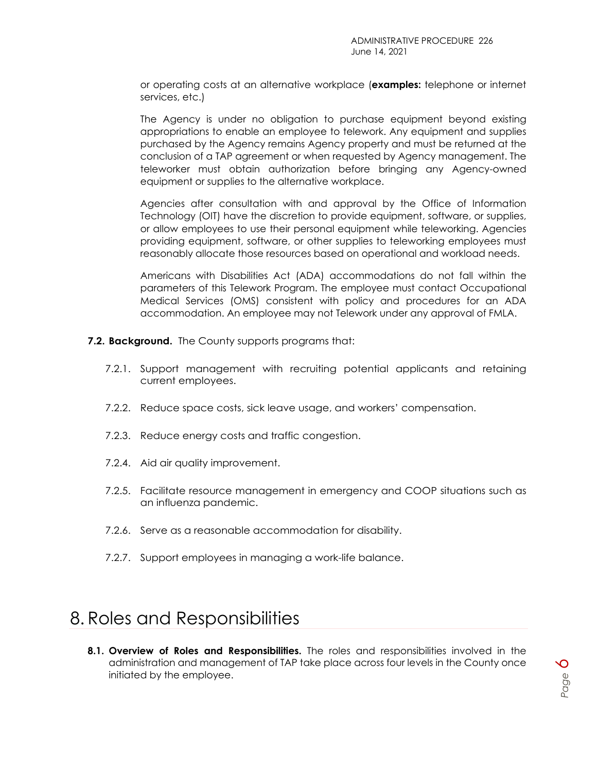or operating costs at an alternative workplace (**examples:** telephone or internet services, etc.)

The Agency is under no obligation to purchase equipment beyond existing appropriations to enable an employee to telework. Any equipment and supplies purchased by the Agency remains Agency property and must be returned at the conclusion of a TAP agreement or when requested by Agency management. The teleworker must obtain authorization before bringing any Agency-owned equipment or supplies to the alternative workplace.

Agencies after consultation with and approval by the Office of Information Technology (OIT) have the discretion to provide equipment, software, or supplies, or allow employees to use their personal equipment while teleworking. Agencies providing equipment, software, or other supplies to teleworking employees must reasonably allocate those resources based on operational and workload needs.

Americans with Disabilities Act (ADA) accommodations do not fall within the parameters of this Telework Program. The employee must contact Occupational Medical Services (OMS) consistent with policy and procedures for an ADA accommodation. An employee may not Telework under any approval of FMLA.

**7.2. Background.** The County supports programs that:

- 7.2.1. Support management with recruiting potential applicants and retaining current employees.
- 7.2.2. Reduce space costs, sick leave usage, and workers' compensation.
- 7.2.3. Reduce energy costs and traffic congestion.
- 7.2.4. Aid air quality improvement.
- 7.2.5. Facilitate resource management in emergency and COOP situations such as an influenza pandemic.
- 7.2.6. Serve as a reasonable accommodation for disability.
- 7.2.7. Support employees in managing a work-life balance.

## <span id="page-5-0"></span>8. Roles and Responsibilities

**8.1. Overview of Roles and Responsibilities.** The roles and responsibilities involved in the administration and management of TAP take place across four levels in the County once initiated by the employee.

*Page*

*6*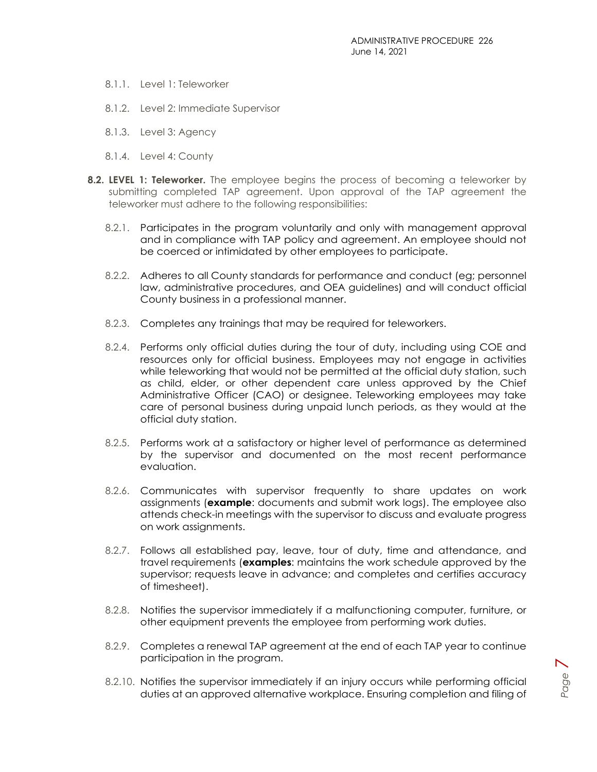- 8.1.1. Level 1: Teleworker
- 8.1.2. Level 2: Immediate Supervisor
- 8.1.3. Level 3: Agency
- 8.1.4. Level 4: County
- **8.2. LEVEL 1: Teleworker.** The employee begins the process of becoming a teleworker by submitting completed TAP agreement. Upon approval of the TAP agreement the teleworker must adhere to the following responsibilities:
	- 8.2.1. Participates in the program voluntarily and only with management approval and in compliance with TAP policy and agreement. An employee should not be coerced or intimidated by other employees to participate.
	- 8.2.2. Adheres to all County standards for performance and conduct (eg; personnel law, administrative procedures, and OEA guidelines) and will conduct official County business in a professional manner.
	- 8.2.3. Completes any trainings that may be required for teleworkers.
	- 8.2.4. Performs only official duties during the tour of duty, including using COE and resources only for official business. Employees may not engage in activities while teleworking that would not be permitted at the official duty station, such as child, elder, or other dependent care unless approved by the Chief Administrative Officer (CAO) or designee. Teleworking employees may take care of personal business during unpaid lunch periods, as they would at the official duty station.
	- 8.2.5. Performs work at a satisfactory or higher level of performance as determined by the supervisor and documented on the most recent performance evaluation.
	- 8.2.6. Communicates with supervisor frequently to share updates on work assignments (**example**: documents and submit work logs). The employee also attends check-in meetings with the supervisor to discuss and evaluate progress on work assignments.
	- 8.2.7. Follows all established pay, leave, tour of duty, time and attendance, and travel requirements (**examples**: maintains the work schedule approved by the supervisor; requests leave in advance; and completes and certifies accuracy of timesheet).
	- 8.2.8. Notifies the supervisor immediately if a malfunctioning computer, furniture, or other equipment prevents the employee from performing work duties.
	- 8.2.9. Completes a renewal TAP agreement at the end of each TAP year to continue participation in the program.
	- 8.2.10. Notifies the supervisor immediately if an injury occurs while performing official duties at an approved alternative workplace. Ensuring completion and filing of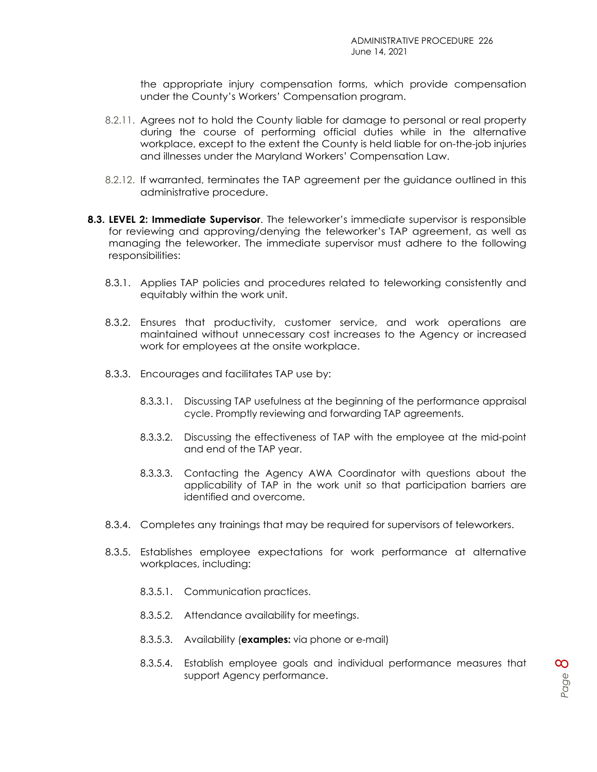the appropriate injury compensation forms, which provide compensation under the County's Workers' Compensation program.

- 8.2.11. Agrees not to hold the County liable for damage to personal or real property during the course of performing official duties while in the alternative workplace, except to the extent the County is held liable for on-the-job injuries and illnesses under the Maryland Workers' Compensation Law.
- 8.2.12. If warranted, terminates the TAP agreement per the guidance outlined in this administrative procedure.
- **8.3. LEVEL 2: Immediate Supervisor**. The teleworker's immediate supervisor is responsible for reviewing and approving/denying the teleworker's TAP agreement, as well as managing the teleworker. The immediate supervisor must adhere to the following responsibilities:
	- 8.3.1. Applies TAP policies and procedures related to teleworking consistently and equitably within the work unit.
	- 8.3.2. Ensures that productivity, customer service, and work operations are maintained without unnecessary cost increases to the Agency or increased work for employees at the onsite workplace.
	- 8.3.3. Encourages and facilitates TAP use by:
		- 8.3.3.1. Discussing TAP usefulness at the beginning of the performance appraisal cycle. Promptly reviewing and forwarding TAP agreements.
		- 8.3.3.2. Discussing the effectiveness of TAP with the employee at the mid-point and end of the TAP year.
		- 8.3.3.3. Contacting the Agency AWA Coordinator with questions about the applicability of TAP in the work unit so that participation barriers are identified and overcome.
	- 8.3.4. Completes any trainings that may be required for supervisors of teleworkers.
	- 8.3.5. Establishes employee expectations for work performance at alternative workplaces, including:
		- 8.3.5.1. Communication practices.
		- 8.3.5.2. Attendance availability for meetings.
		- 8.3.5.3. Availability (**examples:** via phone or e-mail)
		- 8.3.5.4. Establish employee goals and individual performance measures that support Agency performance.

*Page*

*8*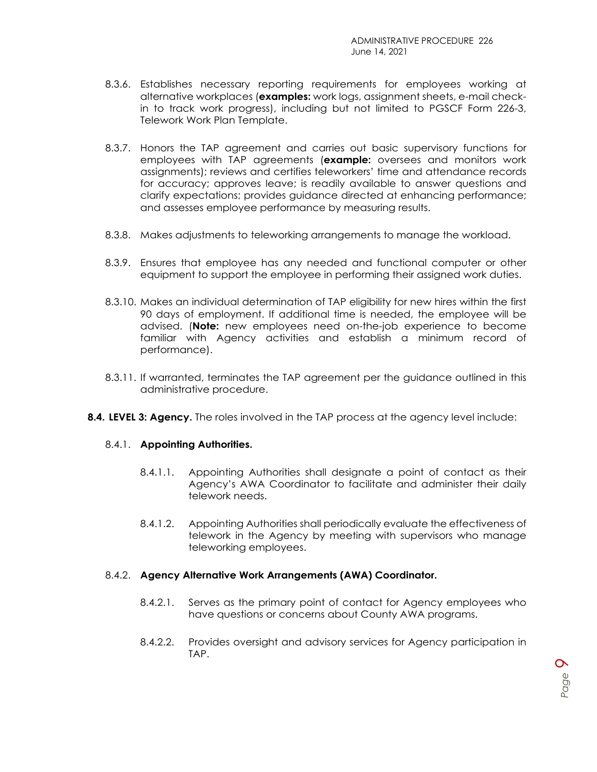- 8.3.6. Establishes necessary reporting requirements for employees working at alternative workplaces (**examples:** work logs, assignment sheets, e-mail checkin to track work progress), including but not limited to PGSCF Form 226-3, Telework Work Plan Template.
- 8.3.7. Honors the TAP agreement and carries out basic supervisory functions for employees with TAP agreements (**example:** oversees and monitors work assignments); reviews and certifies teleworkers' time and attendance records for accuracy; approves leave; is readily available to answer questions and clarify expectations; provides guidance directed at enhancing performance; and assesses employee performance by measuring results.
- 8.3.8. Makes adjustments to teleworking arrangements to manage the workload.
- 8.3.9. Ensures that employee has any needed and functional computer or other equipment to support the employee in performing their assigned work duties.
- 8.3.10. Makes an individual determination of TAP eligibility for new hires within the first 90 days of employment. If additional time is needed, the employee will be advised. (**Note:** new employees need on-the-job experience to become familiar with Agency activities and establish a minimum record of performance).
- 8.3.11. If warranted, terminates the TAP agreement per the guidance outlined in this administrative procedure.
- **8.4. LEVEL 3: Agency.** The roles involved in the TAP process at the agency level include:

#### 8.4.1. **Appointing Authorities.**

- 8.4.1.1. Appointing Authorities shall designate a point of contact as their Agency's AWA Coordinator to facilitate and administer their daily telework needs.
- 8.4.1.2. Appointing Authorities shall periodically evaluate the effectiveness of telework in the Agency by meeting with supervisors who manage teleworking employees.

#### 8.4.2. **Agency Alternative Work Arrangements (AWA) Coordinator.**

- 8.4.2.1. Serves as the primary point of contact for Agency employees who have questions or concerns about County AWA programs.
- 8.4.2.2. Provides oversight and advisory services for Agency participation in TAP.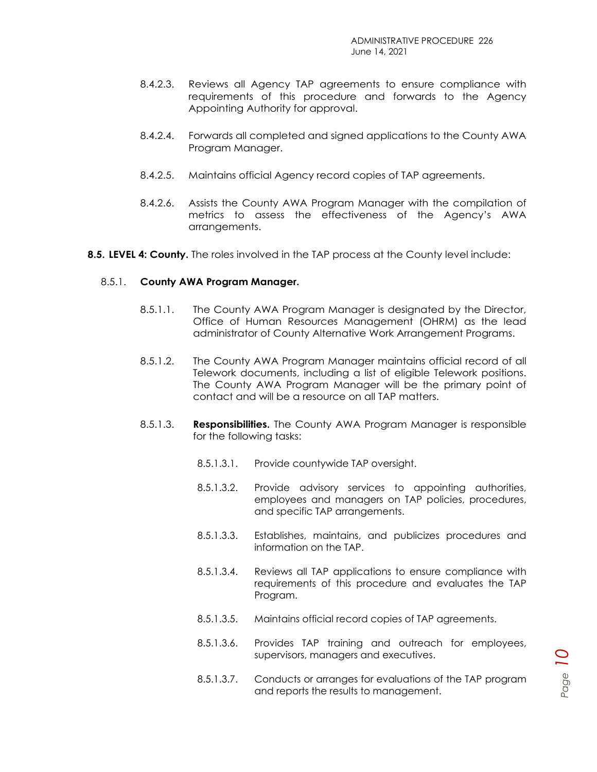- 8.4.2.3. Reviews all Agency TAP agreements to ensure compliance with requirements of this procedure and forwards to the Agency Appointing Authority for approval.
- 8.4.2.4. Forwards all completed and signed applications to the County AWA Program Manager.
- 8.4.2.5. Maintains official Agency record copies of TAP agreements.
- 8.4.2.6. Assists the County AWA Program Manager with the compilation of metrics to assess the effectiveness of the Agency's AWA arrangements.
- **8.5. LEVEL 4: County.** The roles involved in the TAP process at the County level include:

#### 8.5.1. **County AWA Program Manager.**

- 8.5.1.1. The County AWA Program Manager is designated by the Director, Office of Human Resources Management (OHRM) as the lead administrator of County Alternative Work Arrangement Programs.
- 8.5.1.2. The County AWA Program Manager maintains official record of all Telework documents, including a list of eligible Telework positions. The County AWA Program Manager will be the primary point of contact and will be a resource on all TAP matters.
- 8.5.1.3. **Responsibilities.** The County AWA Program Manager is responsible for the following tasks:
	- 8.5.1.3.1. Provide countywide TAP oversight.
	- 8.5.1.3.2. Provide advisory services to appointing authorities, employees and managers on TAP policies, procedures, and specific TAP arrangements.
	- 8.5.1.3.3. Establishes, maintains, and publicizes procedures and information on the TAP.
	- 8.5.1.3.4. Reviews all TAP applications to ensure compliance with requirements of this procedure and evaluates the TAP Program.
	- 8.5.1.3.5. Maintains official record copies of TAP agreements.
	- 8.5.1.3.6. Provides TAP training and outreach for employees, supervisors, managers and executives.
	- 8.5.1.3.7. Conducts or arranges for evaluations of the TAP program and reports the results to management.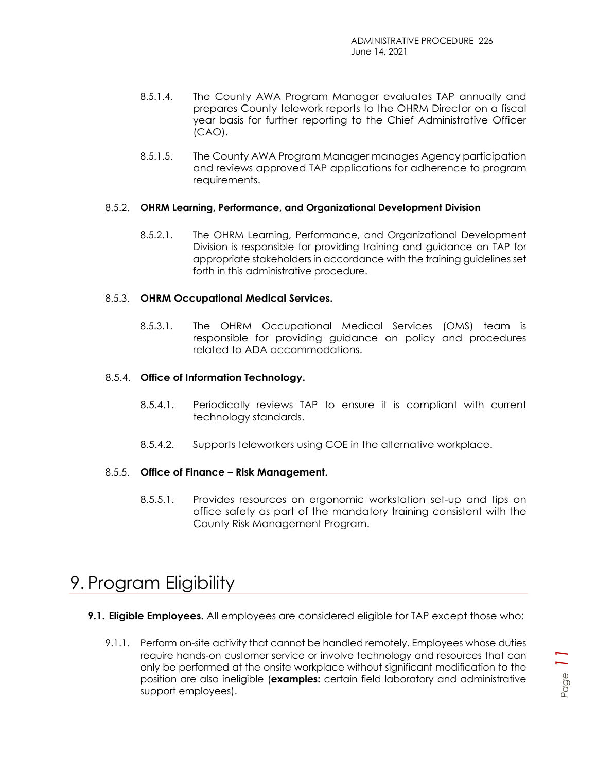- 8.5.1.4. The County AWA Program Manager evaluates TAP annually and prepares County telework reports to the OHRM Director on a fiscal year basis for further reporting to the Chief Administrative Officer (CAO).
- 8.5.1.5. The County AWA Program Manager manages Agency participation and reviews approved TAP applications for adherence to program requirements.

#### 8.5.2. **OHRM Learning, Performance, and Organizational Development Division**

8.5.2.1. The OHRM Learning, Performance, and Organizational Development Division is responsible for providing training and guidance on TAP for appropriate stakeholders in accordance with the training guidelines set forth in this administrative procedure.

#### 8.5.3. **OHRM Occupational Medical Services.**

8.5.3.1. The OHRM Occupational Medical Services (OMS) team is responsible for providing guidance on policy and procedures related to ADA accommodations.

#### 8.5.4. **Office of Information Technology.**

- 8.5.4.1. Periodically reviews TAP to ensure it is compliant with current technology standards.
- 8.5.4.2. Supports teleworkers using COE in the alternative workplace.

#### 8.5.5. **Office of Finance – Risk Management.**

8.5.5.1. Provides resources on ergonomic workstation set-up and tips on office safety as part of the mandatory training consistent with the County Risk Management Program.

### <span id="page-10-0"></span>9. Program Eligibility

- **9.1. Eligible Employees.** All employees are considered eligible for TAP except those who:
	- 9.1.1. Perform on-site activity that cannot be handled remotely. Employees whose duties require hands-on customer service or involve technology and resources that can only be performed at the onsite workplace without significant modification to the position are also ineligible (**examples:** certain field laboratory and administrative support employees).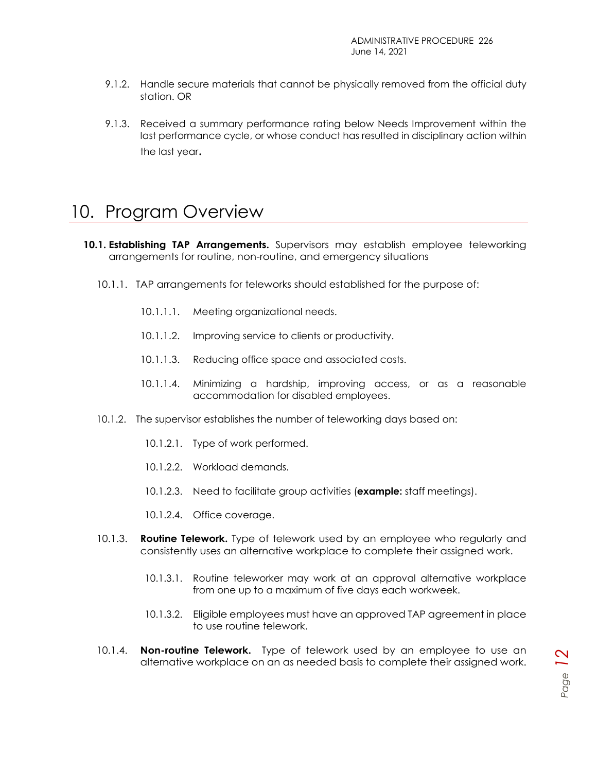- 9.1.2. Handle secure materials that cannot be physically removed from the official duty station. OR
- 9.1.3. Received a summary performance rating below Needs Improvement within the last performance cycle, or whose conduct has resulted in disciplinary action within the last year.

## <span id="page-11-0"></span>10. Program Overview

- **10.1. Establishing TAP Arrangements.** Supervisors may establish employee teleworking arrangements for routine, non-routine, and emergency situations
	- 10.1.1. TAP arrangements for teleworks should established for the purpose of:
		- 10.1.1.1. Meeting organizational needs.
		- 10.1.1.2. Improving service to clients or productivity.
		- 10.1.1.3. Reducing office space and associated costs.
		- 10.1.1.4. Minimizing a hardship, improving access, or as a reasonable accommodation for disabled employees.
	- 10.1.2. The supervisor establishes the number of teleworking days based on:
		- 10.1.2.1. Type of work performed.
		- 10.1.2.2. Workload demands.
		- 10.1.2.3. Need to facilitate group activities (**example:** staff meetings).
		- 10.1.2.4. Office coverage.
	- 10.1.3. **Routine Telework.** Type of telework used by an employee who regularly and consistently uses an alternative workplace to complete their assigned work.
		- 10.1.3.1. Routine teleworker may work at an approval alternative workplace from one up to a maximum of five days each workweek.
		- 10.1.3.2. Eligible employees must have an approved TAP agreement in place to use routine telework.
	- 10.1.4. **Non-routine Telework.** Type of telework used by an employee to use an alternative workplace on an as needed basis to complete their assigned work.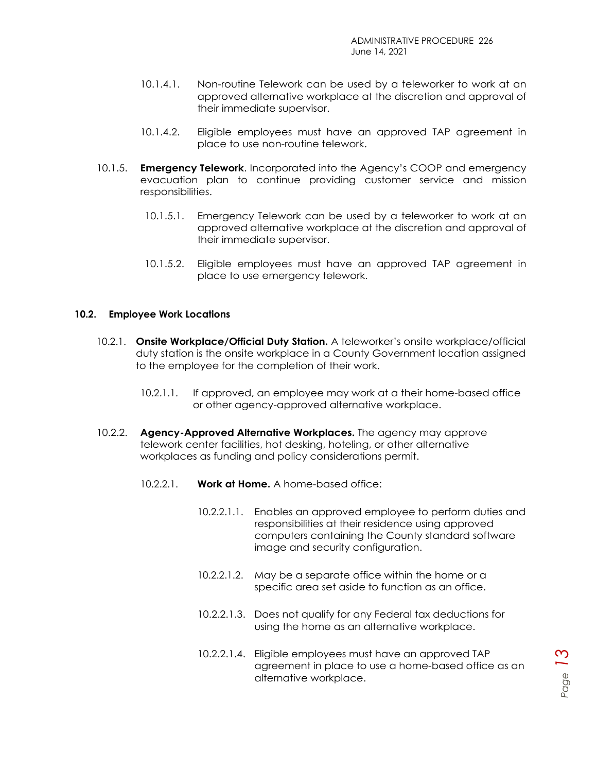- 10.1.4.1. Non-routine Telework can be used by a teleworker to work at an approved alternative workplace at the discretion and approval of their immediate supervisor.
- 10.1.4.2. Eligible employees must have an approved TAP agreement in place to use non-routine telework.
- 10.1.5. **Emergency Telework**. Incorporated into the Agency's COOP and emergency evacuation plan to continue providing customer service and mission responsibilities.
	- 10.1.5.1. Emergency Telework can be used by a teleworker to work at an approved alternative workplace at the discretion and approval of their immediate supervisor.
	- 10.1.5.2. Eligible employees must have an approved TAP agreement in place to use emergency telework.

#### **10.2. Employee Work Locations**

- 10.2.1. **Onsite Workplace/Official Duty Station.** A teleworker's onsite workplace/official duty station is the onsite workplace in a County Government location assigned to the employee for the completion of their work.
	- 10.2.1.1. If approved, an employee may work at a their home-based office or other agency-approved alternative workplace.
- 10.2.2. **Agency-Approved Alternative Workplaces.** The agency may approve telework center facilities, hot desking, hoteling, or other alternative workplaces as funding and policy considerations permit.
	- 10.2.2.1. **Work at Home.** A home-based office:
		- 10.2.2.1.1. Enables an approved employee to perform duties and responsibilities at their residence using approved computers containing the County standard software image and security configuration.
		- 10.2.2.1.2. May be a separate office within the home or a specific area set aside to function as an office.
		- 10.2.2.1.3. Does not qualify for any Federal tax deductions for using the home as an alternative workplace.
		- 10.2.2.1.4. Eligible employees must have an approved TAP agreement in place to use a home-based office as an alternative workplace.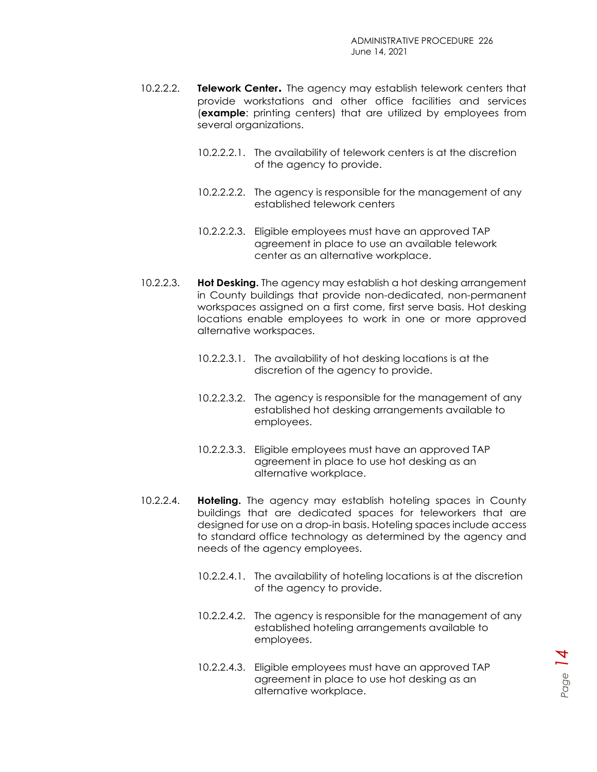- 10.2.2.2. **Telework Center.** The agency may establish telework centers that provide workstations and other office facilities and services (**example**: printing centers) that are utilized by employees from several organizations.
	- 10.2.2.2.1. The availability of telework centers is at the discretion of the agency to provide.
	- 10.2.2.2.2. The agency is responsible for the management of any established telework centers
	- 10.2.2.2.3. Eligible employees must have an approved TAP agreement in place to use an available telework center as an alternative workplace.
- 10.2.2.3. **Hot Desking.** The agency may establish a hot desking arrangement in County buildings that provide non-dedicated, non-permanent workspaces assigned on a first come, first serve basis. Hot desking locations enable employees to work in one or more approved alternative workspaces.
	- 10.2.2.3.1. The availability of hot desking locations is at the discretion of the agency to provide.
	- 10.2.2.3.2. The agency is responsible for the management of any established hot desking arrangements available to employees.
	- 10.2.2.3.3. Eligible employees must have an approved TAP agreement in place to use hot desking as an alternative workplace.
- 10.2.2.4. **Hoteling.** The agency may establish hoteling spaces in County buildings that are dedicated spaces for teleworkers that are designed for use on a drop-in basis. Hoteling spaces include access to standard office technology as determined by the agency and needs of the agency employees.
	- 10.2.2.4.1. The availability of hoteling locations is at the discretion of the agency to provide.
	- 10.2.2.4.2. The agency is responsible for the management of any established hoteling arrangements available to employees.
	- 10.2.2.4.3. Eligible employees must have an approved TAP agreement in place to use hot desking as an alternative workplace.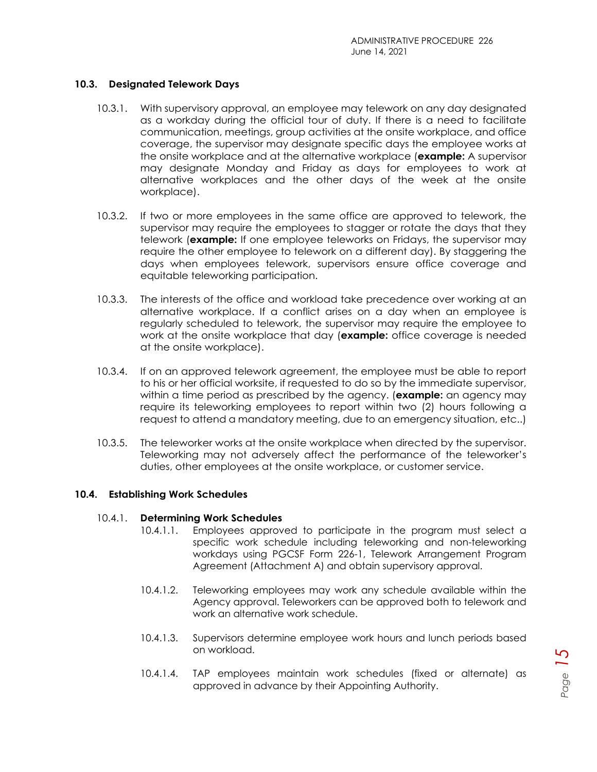#### **10.3. Designated Telework Days**

- 10.3.1. With supervisory approval, an employee may telework on any day designated as a workday during the official tour of duty. If there is a need to facilitate communication, meetings, group activities at the onsite workplace, and office coverage, the supervisor may designate specific days the employee works at the onsite workplace and at the alternative workplace (**example:** A supervisor may designate Monday and Friday as days for employees to work at alternative workplaces and the other days of the week at the onsite workplace).
- 10.3.2. If two or more employees in the same office are approved to telework, the supervisor may require the employees to stagger or rotate the days that they telework (**example:** If one employee teleworks on Fridays, the supervisor may require the other employee to telework on a different day). By staggering the days when employees telework, supervisors ensure office coverage and equitable teleworking participation.
- 10.3.3. The interests of the office and workload take precedence over working at an alternative workplace. If a conflict arises on a day when an employee is regularly scheduled to telework, the supervisor may require the employee to work at the onsite workplace that day (**example:** office coverage is needed at the onsite workplace).
- 10.3.4. If on an approved telework agreement, the employee must be able to report to his or her official worksite, if requested to do so by the immediate supervisor, within a time period as prescribed by the agency. (**example:** an agency may require its teleworking employees to report within two (2) hours following a request to attend a mandatory meeting, due to an emergency situation, etc..)
- 10.3.5. The teleworker works at the onsite workplace when directed by the supervisor. Teleworking may not adversely affect the performance of the teleworker's duties, other employees at the onsite workplace, or customer service.

#### **10.4. Establishing Work Schedules**

#### 10.4.1. **Determining Work Schedules**

- 10.4.1.1. Employees approved to participate in the program must select a specific work schedule including teleworking and non-teleworking workdays using PGCSF Form 226-1, Telework Arrangement Program Agreement (Attachment A) and obtain supervisory approval.
- 10.4.1.2. Teleworking employees may work any schedule available within the Agency approval. Teleworkers can be approved both to telework and work an alternative work schedule.
- 10.4.1.3. Supervisors determine employee work hours and lunch periods based on workload.
- 10.4.1.4. TAP employees maintain work schedules (fixed or alternate) as approved in advance by their Appointing Authority.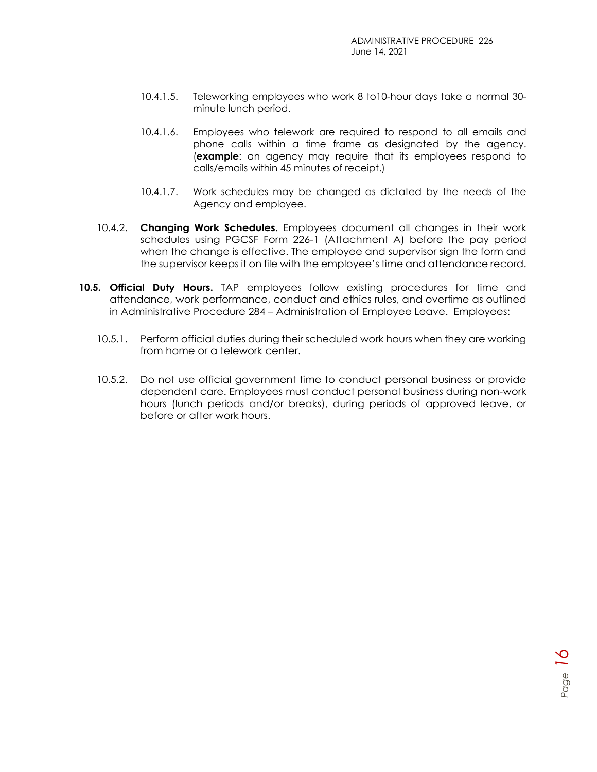- 10.4.1.5. Teleworking employees who work 8 to10-hour days take a normal 30 minute lunch period.
- 10.4.1.6. Employees who telework are required to respond to all emails and phone calls within a time frame as designated by the agency. (**example**: an agency may require that its employees respond to calls/emails within 45 minutes of receipt.)
- 10.4.1.7. Work schedules may be changed as dictated by the needs of the Agency and employee.
- 10.4.2. **Changing Work Schedules.** Employees document all changes in their work schedules using PGCSF Form 226-1 (Attachment A) before the pay period when the change is effective. The employee and supervisor sign the form and the supervisor keeps it on file with the employee's time and attendance record.
- **10.5. Official Duty Hours.** TAP employees follow existing procedures for time and attendance, work performance, conduct and ethics rules, and overtime as outlined in Administrative Procedure 284 – Administration of Employee Leave. Employees:
	- 10.5.1. Perform official duties during their scheduled work hours when they are working from home or a telework center.
	- 10.5.2. Do not use official government time to conduct personal business or provide dependent care. Employees must conduct personal business during non-work hours (lunch periods and/or breaks), during periods of approved leave, or before or after work hours.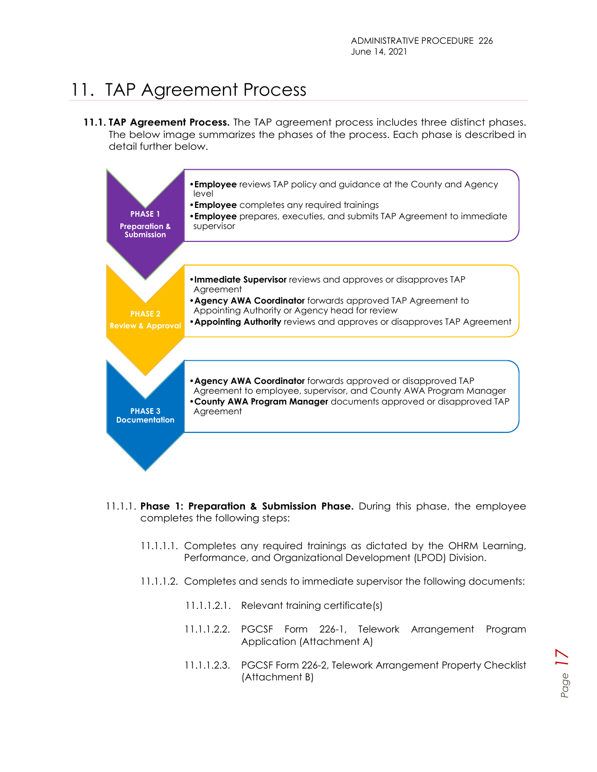# <span id="page-16-0"></span>11. TAP Agreement Process

**11.1. TAP Agreement Process.** The TAP agreement process includes three distinct phases. The below image summarizes the phases of the process. Each phase is described in detail further below.



- 11.1.1. **Phase 1: Preparation & Submission Phase.** During this phase, the employee completes the following steps:
	- 11.1.1.1. Completes any required trainings as dictated by the OHRM Learning, Performance, and Organizational Development (LPOD) Division.
	- 11.1.1.2. Completes and sends to immediate supervisor the following documents:
		- 11.1.1.2.1. Relevant training certificate(s)
		- 11.1.1.2.2. PGCSF Form 226-1, Telework Arrangement Program Application (Attachment A)
		- 11.1.1.2.3. PGCSF Form 226-2, Telework Arrangement Property Checklist (Attachment B)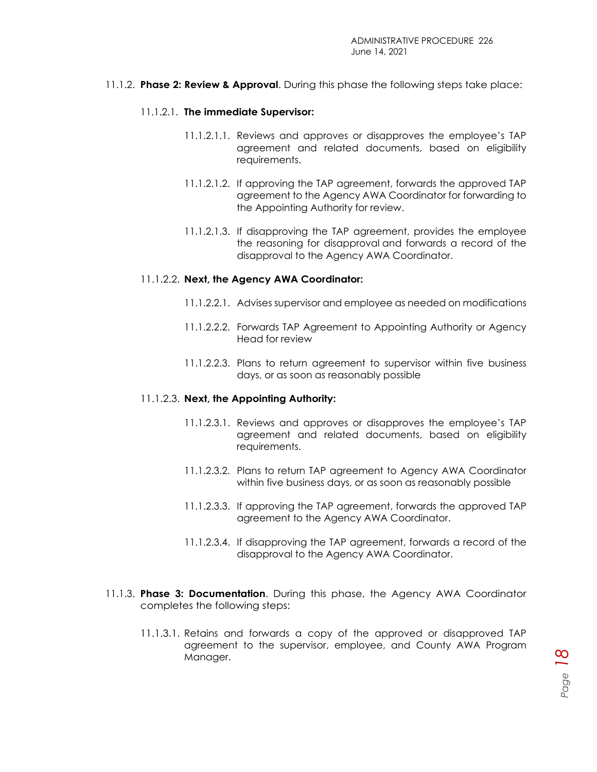11.1.2. **Phase 2: Review & Approval**. During this phase the following steps take place:

#### 11.1.2.1. **The immediate Supervisor:**

- 11.1.2.1.1. Reviews and approves or disapproves the employee's TAP agreement and related documents, based on eligibility requirements.
- 11.1.2.1.2. If approving the TAP agreement, forwards the approved TAP agreement to the Agency AWA Coordinator for forwarding to the Appointing Authority for review.
- 11.1.2.1.3. If disapproving the TAP agreement, provides the employee the reasoning for disapproval and forwards a record of the disapproval to the Agency AWA Coordinator.

#### 11.1.2.2. **Next, the Agency AWA Coordinator:**

- 11.1.2.2.1. Advises supervisor and employee as needed on modifications
- 11.1.2.2.2. Forwards TAP Agreement to Appointing Authority or Agency Head for review
- 11.1.2.2.3. Plans to return agreement to supervisor within five business days, or as soon as reasonably possible

#### 11.1.2.3. **Next, the Appointing Authority:**

- 11.1.2.3.1. Reviews and approves or disapproves the employee's TAP agreement and related documents, based on eligibility requirements.
- 11.1.2.3.2. Plans to return TAP agreement to Agency AWA Coordinator within five business days, or as soon as reasonably possible
- 11.1.2.3.3. If approving the TAP agreement, forwards the approved TAP agreement to the Agency AWA Coordinator.
- 11.1.2.3.4. If disapproving the TAP agreement, forwards a record of the disapproval to the Agency AWA Coordinator.
- 11.1.3. **Phase 3: Documentation**. During this phase, the Agency AWA Coordinator completes the following steps:
	- 11.1.3.1. Retains and forwards a copy of the approved or disapproved TAP agreement to the supervisor, employee, and County AWA Program Manager.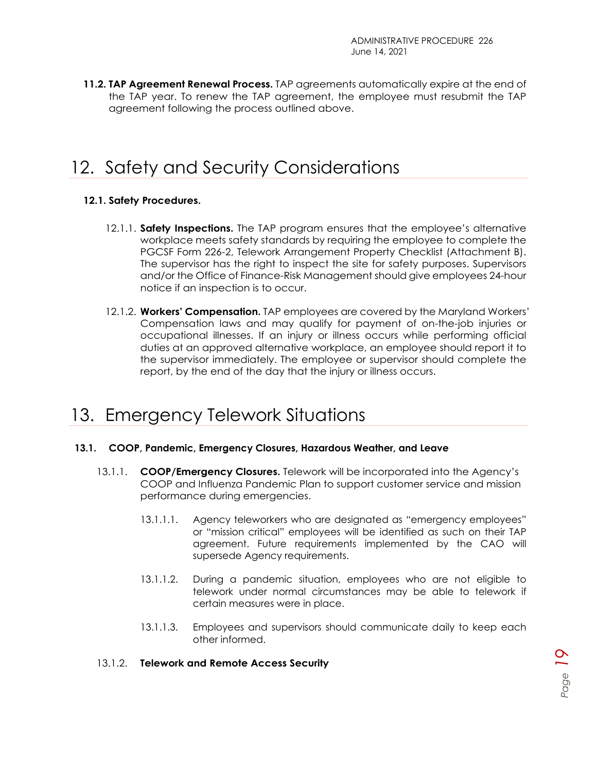**11.2. TAP Agreement Renewal Process.** TAP agreements automatically expire at the end of the TAP year. To renew the TAP agreement, the employee must resubmit the TAP agreement following the process outlined above.

## <span id="page-18-0"></span>12. Safety and Security Considerations

#### **12.1. Safety Procedures.**

- 12.1.1. **Safety Inspections.** The TAP program ensures that the employee's alternative workplace meets safety standards by requiring the employee to complete the PGCSF Form 226-2, Telework Arrangement Property Checklist (Attachment B). The supervisor has the right to inspect the site for safety purposes. Supervisors and/or the Office of Finance-Risk Management should give employees 24-hour notice if an inspection is to occur.
- 12.1.2. **Workers' Compensation.** TAP employees are covered by the Maryland Workers' Compensation laws and may qualify for payment of on-the-job injuries or occupational illnesses. If an injury or illness occurs while performing official duties at an approved alternative workplace, an employee should report it to the supervisor immediately. The employee or supervisor should complete the report, by the end of the day that the injury or illness occurs.

## <span id="page-18-1"></span>13. Emergency Telework Situations

#### **13.1. COOP, Pandemic, Emergency Closures, Hazardous Weather, and Leave**

- 13.1.1. **COOP/Emergency Closures.** Telework will be incorporated into the Agency's COOP and Influenza Pandemic Plan to support customer service and mission performance during emergencies.
	- 13.1.1.1. Agency teleworkers who are designated as "emergency employees" or "mission critical" employees will be identified as such on their TAP agreement. Future requirements implemented by the CAO will supersede Agency requirements.
	- 13.1.1.2. During a pandemic situation, employees who are not eligible to telework under normal circumstances may be able to telework if certain measures were in place.
	- 13.1.1.3. Employees and supervisors should communicate daily to keep each other informed.

#### 13.1.2. **Telework and Remote Access Security**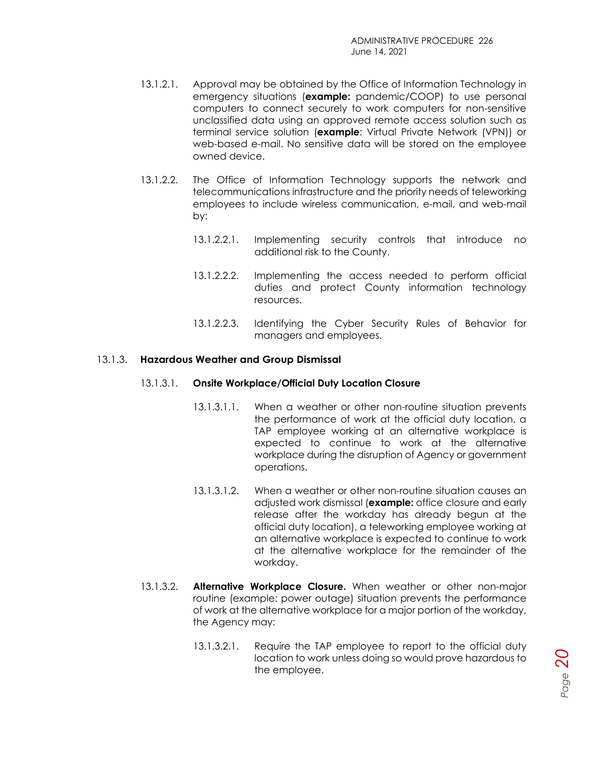- 13.1.2.1. Approval may be obtained by the Office of Information Technology in emergency situations (**example:** pandemic/COOP) to use personal computers to connect securely to work computers for non-sensitive unclassified data using an approved remote access solution such as terminal service solution (**example**: Virtual Private Network (VPN)) or web-based e-mail. No sensitive data will be stored on the employee owned device.
- 13.1.2.2. The Office of Information Technology supports the network and telecommunications infrastructure and the priority needs of teleworking employees to include wireless communication, e-mail, and web-mail by:
	- 13.1.2.2.1. Implementing security controls that introduce no additional risk to the County.
	- 13.1.2.2.2. Implementing the access needed to perform official duties and protect County information technology resources.
	- 13.1.2.2.3. Identifying the Cyber Security Rules of Behavior for managers and employees.

#### 13.1.3. **Hazardous Weather and Group Dismissal**

#### 13.1.3.1. **Onsite Workplace/Official Duty Location Closure**

- 13.1.3.1.1. When a weather or other non-routine situation prevents the performance of work at the official duty location, a TAP employee working at an alternative workplace is expected to continue to work at the alternative workplace during the disruption of Agency or government operations.
- 13.1.3.1.2. When a weather or other non-routine situation causes an adjusted work dismissal (**example:** office closure and early release after the workday has already begun at the official duty location), a teleworking employee working at an alternative workplace is expected to continue to work at the alternative workplace for the remainder of the workday.
- 13.1.3.2. **Alternative Workplace Closure.** When weather or other non-major routine (example: power outage) situation prevents the performance of work at the alternative workplace for a major portion of the workday, the Agency may:
	- 13.1.3.2.1. Require the TAP employee to report to the official duty location to work unless doing so would prove hazardous to the employee.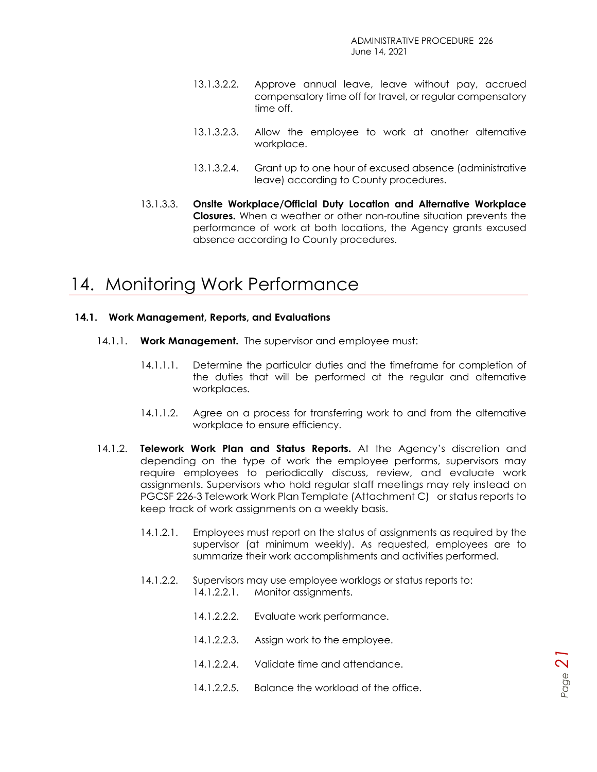- 13.1.3.2.2. Approve annual leave, leave without pay, accrued compensatory time off for travel, or regular compensatory time off.
- 13.1.3.2.3. Allow the employee to work at another alternative workplace.
- 13.1.3.2.4. Grant up to one hour of excused absence (administrative leave) according to County procedures.
- 13.1.3.3. **Onsite Workplace/Official Duty Location and Alternative Workplace Closures.** When a weather or other non-routine situation prevents the performance of work at both locations, the Agency grants excused absence according to County procedures.

## <span id="page-20-0"></span>14. Monitoring Work Performance

#### **14.1. Work Management, Reports, and Evaluations**

- 14.1.1. **Work Management.** The supervisor and employee must:
	- 14.1.1.1. Determine the particular duties and the timeframe for completion of the duties that will be performed at the regular and alternative workplaces.
	- 14.1.1.2. Agree on a process for transferring work to and from the alternative workplace to ensure efficiency.
- 14.1.2. **Telework Work Plan and Status Reports.** At the Agency's discretion and depending on the type of work the employee performs, supervisors may require employees to periodically discuss, review, and evaluate work assignments. Supervisors who hold regular staff meetings may rely instead on PGCSF 226-3 Telework Work Plan Template (Attachment C) or status reports to keep track of work assignments on a weekly basis.
	- 14.1.2.1. Employees must report on the status of assignments as required by the supervisor (at minimum weekly). As requested, employees are to summarize their work accomplishments and activities performed.

*Page 21*

- 14.1.2.2. Supervisors may use employee worklogs or status reports to: 14.1.2.2.1. Monitor assignments.
	- 14.1.2.2.2. Evaluate work performance.
	- 14.1.2.2.3. Assign work to the employee.
	- 14.1.2.2.4. Validate time and attendance.
	- 14.1.2.2.5. Balance the workload of the office.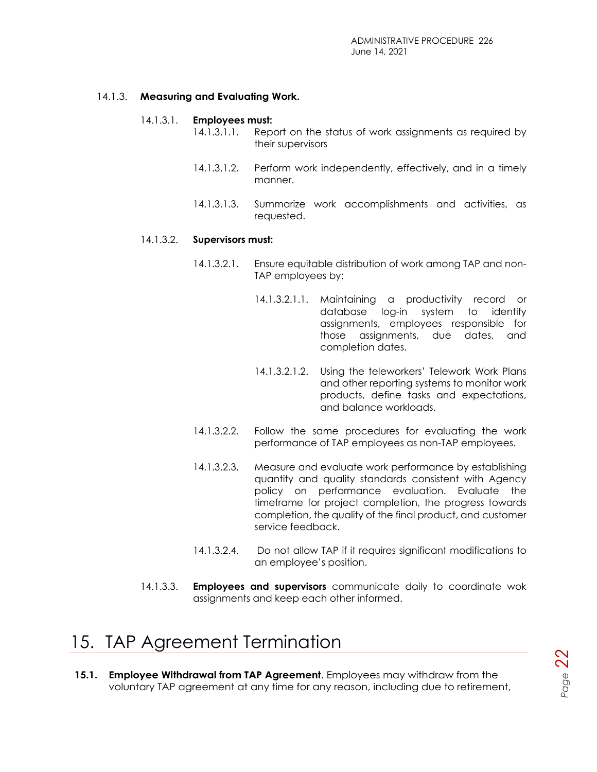#### 14.1.3. **Measuring and Evaluating Work.**

#### 14.1.3.1. **Employees must:**

- 14.1.3.1.1. Report on the status of work assignments as required by their supervisors
	- 14.1.3.1.2. Perform work independently, effectively, and in a timely manner.
	- 14.1.3.1.3. Summarize work accomplishments and activities, as requested.

#### 14.1.3.2. **Supervisors must:**

- 14.1.3.2.1. Ensure equitable distribution of work among TAP and non-TAP employees by:
	- 14.1.3.2.1.1. Maintaining a productivity record or database log-in system to identify assignments, employees responsible for those assignments, due dates, and completion dates.
	- 14.1.3.2.1.2. Using the teleworkers' Telework Work Plans and other reporting systems to monitor work products, define tasks and expectations, and balance workloads.
- 14.1.3.2.2. Follow the same procedures for evaluating the work performance of TAP employees as non-TAP employees.
- 14.1.3.2.3. Measure and evaluate work performance by establishing quantity and quality standards consistent with Agency policy on performance evaluation. Evaluate the timeframe for project completion, the progress towards completion, the quality of the final product, and customer service feedback.
- 14.1.3.2.4. Do not allow TAP if it requires significant modifications to an employee's position.
- 14.1.3.3. **Employees and supervisors** communicate daily to coordinate wok assignments and keep each other informed.

### <span id="page-21-0"></span>15. TAP Agreement Termination

**15.1. Employee Withdrawal from TAP Agreement**. Employees may withdraw from the voluntary TAP agreement at any time for any reason, including due to retirement,

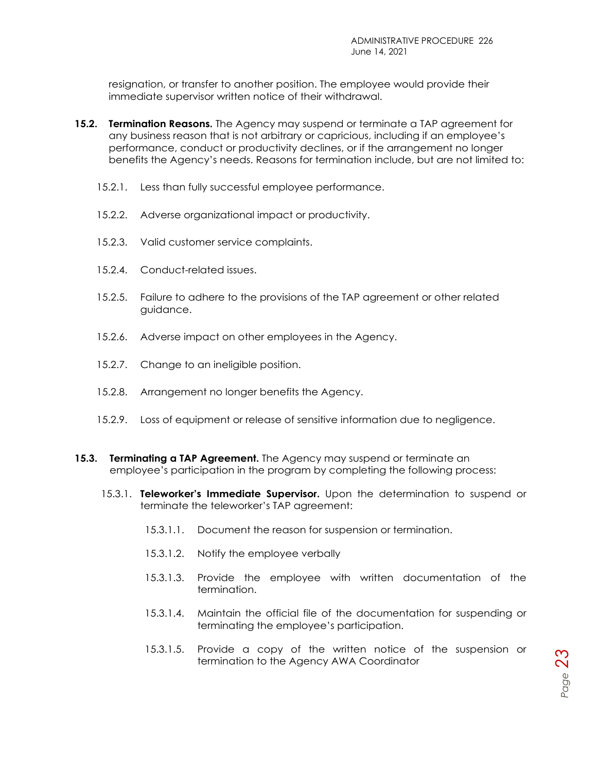resignation, or transfer to another position. The employee would provide their immediate supervisor written notice of their withdrawal.

- **15.2. Termination Reasons.** The Agency may suspend or terminate a TAP agreement for any business reason that is not arbitrary or capricious, including if an employee's performance, conduct or productivity declines, or if the arrangement no longer benefits the Agency's needs. Reasons for termination include, but are not limited to:
	- 15.2.1. Less than fully successful employee performance.
	- 15.2.2. Adverse organizational impact or productivity.
	- 15.2.3. Valid customer service complaints.
	- 15.2.4. Conduct-related issues.
	- 15.2.5. Failure to adhere to the provisions of the TAP agreement or other related guidance.
	- 15.2.6. Adverse impact on other employees in the Agency.
	- 15.2.7. Change to an ineligible position.
	- 15.2.8. Arrangement no longer benefits the Agency.
	- 15.2.9. Loss of equipment or release of sensitive information due to negligence.
- **15.3. Terminating a TAP Agreement.** The Agency may suspend or terminate an employee's participation in the program by completing the following process:
	- 15.3.1. **Teleworker's Immediate Supervisor.** Upon the determination to suspend or terminate the teleworker's TAP agreement:
		- 15.3.1.1. Document the reason for suspension or termination.
		- 15.3.1.2. Notify the employee verbally
		- 15.3.1.3. Provide the employee with written documentation of the termination.
		- 15.3.1.4. Maintain the official file of the documentation for suspending or terminating the employee's participation.
		- 15.3.1.5. Provide a copy of the written notice of the suspension or termination to the Agency AWA Coordinator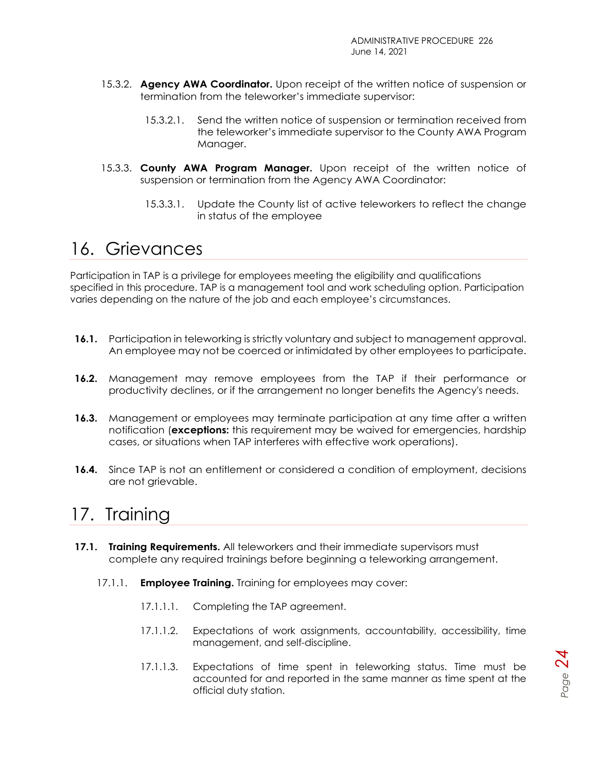- 15.3.2. **Agency AWA Coordinator.** Upon receipt of the written notice of suspension or termination from the teleworker's immediate supervisor:
	- 15.3.2.1. Send the written notice of suspension or termination received from the teleworker's immediate supervisor to the County AWA Program Manager.
- 15.3.3. **County AWA Program Manager.** Upon receipt of the written notice of suspension or termination from the Agency AWA Coordinator:
	- 15.3.3.1. Update the County list of active teleworkers to reflect the change in status of the employee

### <span id="page-23-0"></span>16. Grievances

Participation in TAP is a privilege for employees meeting the eligibility and qualifications specified in this procedure. TAP is a management tool and work scheduling option. Participation varies depending on the nature of the job and each employee's circumstances.

- **16.1.** Participation in teleworking is strictly voluntary and subject to management approval. An employee may not be coerced or intimidated by other employees to participate.
- **16.2.** Management may remove employees from the TAP if their performance or productivity declines, or if the arrangement no longer benefits the Agency's needs.
- **16.3.** Management or employees may terminate participation at any time after a written notification (**exceptions:** this requirement may be waived for emergencies, hardship cases, or situations when TAP interferes with effective work operations).
- **16.4.** Since TAP is not an entitlement or considered a condition of employment, decisions are not grievable.

## <span id="page-23-1"></span>17. Training

- **17.1. Training Requirements.** All teleworkers and their immediate supervisors must complete any required trainings before beginning a teleworking arrangement.
	- 17.1.1. **Employee Training.** Training for employees may cover:
		- 17.1.1.1. Completing the TAP agreement.
		- 17.1.1.2. Expectations of work assignments, accountability, accessibility, time management, and self-discipline.
		- 17.1.1.3. Expectations of time spent in teleworking status. Time must be accounted for and reported in the same manner as time spent at the official duty station.

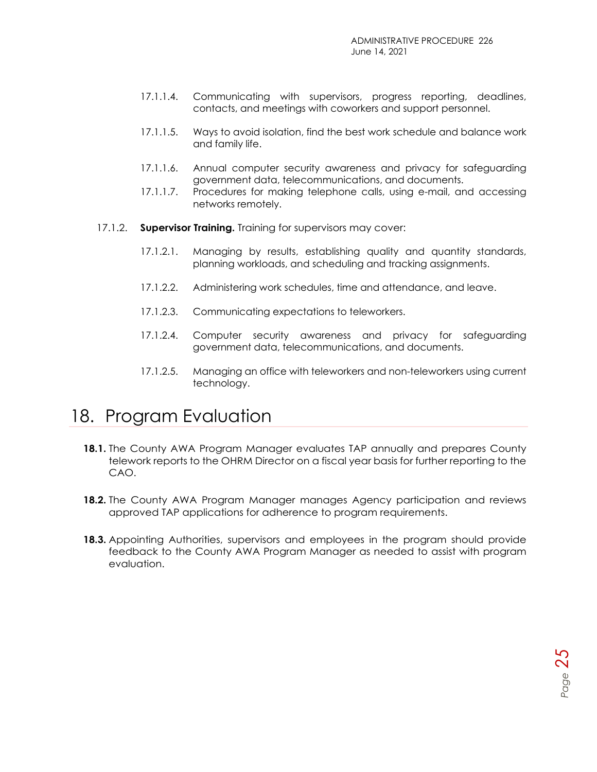$P_{\text{age}}$  25

- 17.1.1.4. Communicating with supervisors, progress reporting, deadlines, contacts, and meetings with coworkers and support personnel.
- 17.1.1.5. Ways to avoid isolation, find the best work schedule and balance work and family life.
- 17.1.1.6. Annual computer security awareness and privacy for safeguarding government data, telecommunications, and documents.
- 17.1.1.7. Procedures for making telephone calls, using e-mail, and accessing networks remotely.
- 17.1.2. **Supervisor Training.** Training for supervisors may cover:
	- 17.1.2.1. Managing by results, establishing quality and quantity standards, planning workloads, and scheduling and tracking assignments.
	- 17.1.2.2. Administering work schedules, time and attendance, and leave.
	- 17.1.2.3. Communicating expectations to teleworkers.
	- 17.1.2.4. Computer security awareness and privacy for safeguarding government data, telecommunications, and documents.
	- 17.1.2.5. Managing an office with teleworkers and non-teleworkers using current technology.

### <span id="page-24-0"></span>18. Program Evaluation

- **18.1.** The County AWA Program Manager evaluates TAP annually and prepares County telework reports to the OHRM Director on a fiscal year basis for further reporting to the CAO.
- **18.2.** The County AWA Program Manager manages Agency participation and reviews approved TAP applications for adherence to program requirements.
- **18.3.** Appointing Authorities, supervisors and employees in the program should provide feedback to the County AWA Program Manager as needed to assist with program evaluation.